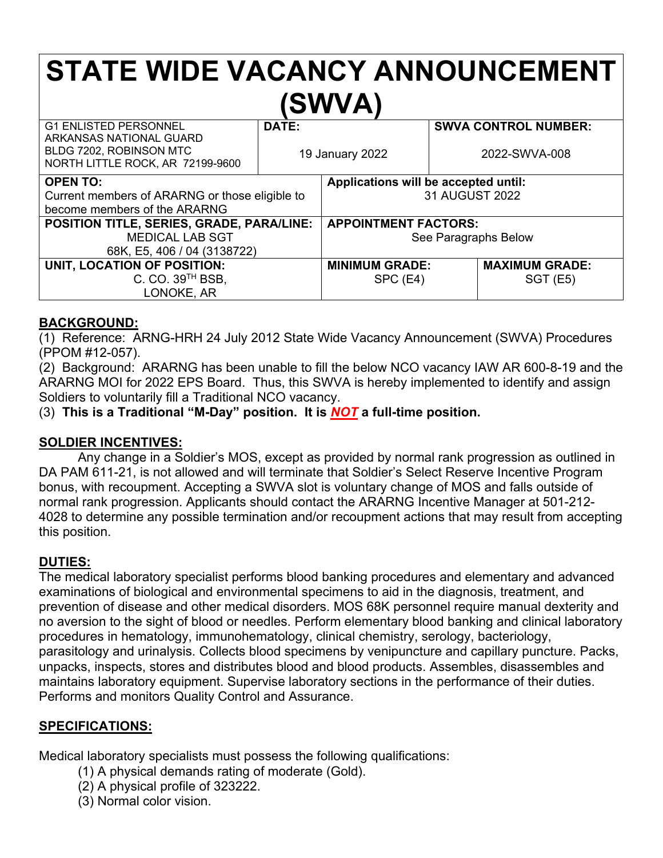# **STATE WIDE VACANCY ANNOUNCEMENT (SWVA)**

| <b>G1 ENLISTED PERSONNEL</b><br>ARKANSAS NATIONAL GUARD<br>BLDG 7202, ROBINSON MTC<br>NORTH LITTLE ROCK, AR 72199-9600 | DATE:<br>19 January 2022 |                                                        | <b>SWVA CONTROL NUMBER:</b><br>2022-SWVA-008 |                                          |
|------------------------------------------------------------------------------------------------------------------------|--------------------------|--------------------------------------------------------|----------------------------------------------|------------------------------------------|
| <b>OPEN TO:</b><br>Current members of ARARNG or those eligible to<br>become members of the ARARNG                      |                          | Applications will be accepted until:<br>31 AUGUST 2022 |                                              |                                          |
| POSITION TITLE, SERIES, GRADE, PARA/LINE:<br><b>MEDICAL LAB SGT</b><br>68K, E5, 406 / 04 (3138722)                     |                          | <b>APPOINTMENT FACTORS:</b><br>See Paragraphs Below    |                                              |                                          |
| UNIT, LOCATION OF POSITION:<br>C. CO. 39 <sup>TH</sup> BSB,<br>LONOKE, AR                                              |                          | <b>MINIMUM GRADE:</b><br>$SPC$ (E4)                    |                                              | <b>MAXIMUM GRADE:</b><br><b>SGT (E5)</b> |

## **BACKGROUND:**

(1) Reference: ARNG-HRH 24 July 2012 State Wide Vacancy Announcement (SWVA) Procedures (PPOM #12-057).

(2) Background: ARARNG has been unable to fill the below NCO vacancy IAW AR 600-8-19 and the ARARNG MOI for 2022 EPS Board. Thus, this SWVA is hereby implemented to identify and assign Soldiers to voluntarily fill a Traditional NCO vacancy.

(3) **This is a Traditional "M-Day" position. It is** *NOT* **a full-time position.**

## **SOLDIER INCENTIVES:**

Any change in a Soldier's MOS, except as provided by normal rank progression as outlined in DA PAM 611-21, is not allowed and will terminate that Soldier's Select Reserve Incentive Program bonus, with recoupment. Accepting a SWVA slot is voluntary change of MOS and falls outside of normal rank progression. Applicants should contact the ARARNG Incentive Manager at 501-212- 4028 to determine any possible termination and/or recoupment actions that may result from accepting this position.

## **DUTIES:**

The medical laboratory specialist performs blood banking procedures and elementary and advanced examinations of biological and environmental specimens to aid in the diagnosis, treatment, and prevention of disease and other medical disorders. MOS 68K personnel require manual dexterity and no aversion to the sight of blood or needles. Perform elementary blood banking and clinical laboratory procedures in hematology, immunohematology, clinical chemistry, serology, bacteriology, parasitology and urinalysis. Collects blood specimens by venipuncture and capillary puncture. Packs, unpacks, inspects, stores and distributes blood and blood products. Assembles, disassembles and maintains laboratory equipment. Supervise laboratory sections in the performance of their duties. Performs and monitors Quality Control and Assurance.

### **SPECIFICATIONS:**

Medical laboratory specialists must possess the following qualifications:

- (1) A physical demands rating of moderate (Gold).
- (2) A physical profile of 323222.
- (3) Normal color vision.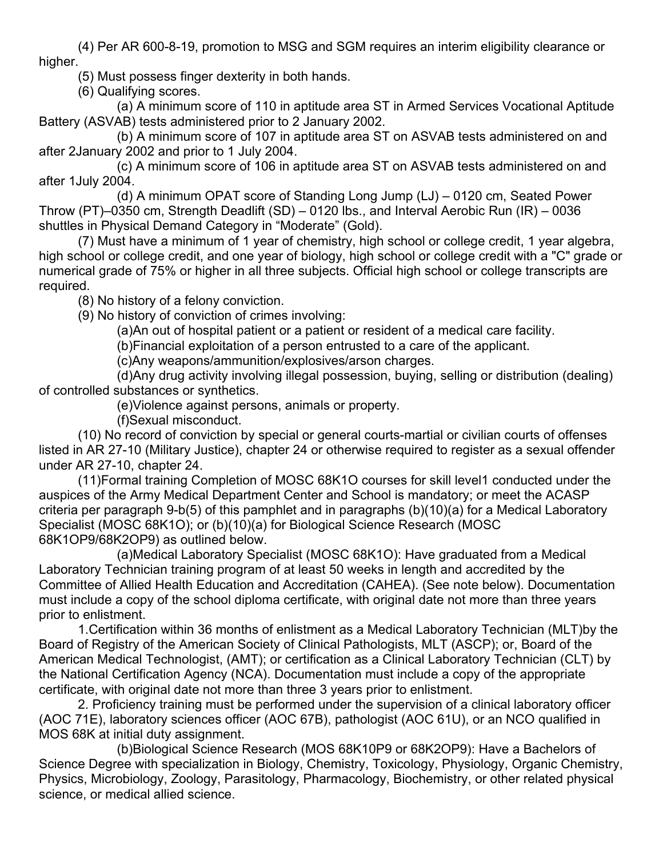(4) Per AR 600-8-19, promotion to MSG and SGM requires an interim eligibility clearance or higher.

(5) Must possess finger dexterity in both hands.

(6) Qualifying scores.

(a) A minimum score of 110 in aptitude area ST in Armed Services Vocational Aptitude Battery (ASVAB) tests administered prior to 2 January 2002.

(b) A minimum score of 107 in aptitude area ST on ASVAB tests administered on and after 2January 2002 and prior to 1 July 2004.

(c) A minimum score of 106 in aptitude area ST on ASVAB tests administered on and after 1July 2004.

(d) A minimum OPAT score of Standing Long Jump (LJ) – 0120 cm, Seated Power Throw (PT)–0350 cm, Strength Deadlift (SD) – 0120 lbs., and Interval Aerobic Run (IR) – 0036 shuttles in Physical Demand Category in "Moderate" (Gold).

(7) Must have a minimum of 1 year of chemistry, high school or college credit, 1 year algebra, high school or college credit, and one year of biology, high school or college credit with a "C" grade or numerical grade of 75% or higher in all three subjects. Official high school or college transcripts are required.

(8) No history of a felony conviction.

(9) No history of conviction of crimes involving:

(a)An out of hospital patient or a patient or resident of a medical care facility.

(b)Financial exploitation of a person entrusted to a care of the applicant.

(c)Any weapons/ammunition/explosives/arson charges.

(d)Any drug activity involving illegal possession, buying, selling or distribution (dealing) of controlled substances or synthetics.

(e)Violence against persons, animals or property.

(f)Sexual misconduct.

(10) No record of conviction by special or general courts-martial or civilian courts of offenses listed in AR 27-10 (Military Justice), chapter 24 or otherwise required to register as a sexual offender under AR 27-10, chapter 24.

(11)Formal training Completion of MOSC 68K1O courses for skill level1 conducted under the auspices of the Army Medical Department Center and School is mandatory; or meet the ACASP criteria per paragraph 9-b(5) of this pamphlet and in paragraphs (b)(10)(a) for a Medical Laboratory Specialist (MOSC 68K1O); or (b)(10)(a) for Biological Science Research (MOSC 68K1OP9/68K2OP9) as outlined below.

(a)Medical Laboratory Specialist (MOSC 68K1O): Have graduated from a Medical Laboratory Technician training program of at least 50 weeks in length and accredited by the Committee of Allied Health Education and Accreditation (CAHEA). (See note below). Documentation must include a copy of the school diploma certificate, with original date not more than three years prior to enlistment.

1.Certification within 36 months of enlistment as a Medical Laboratory Technician (MLT)by the Board of Registry of the American Society of Clinical Pathologists, MLT (ASCP); or, Board of the American Medical Technologist, (AMT); or certification as a Clinical Laboratory Technician (CLT) by the National Certification Agency (NCA). Documentation must include a copy of the appropriate certificate, with original date not more than three 3 years prior to enlistment.

2. Proficiency training must be performed under the supervision of a clinical laboratory officer (AOC 71E), laboratory sciences officer (AOC 67B), pathologist (AOC 61U), or an NCO qualified in MOS 68K at initial duty assignment.

(b)Biological Science Research (MOS 68K10P9 or 68K2OP9): Have a Bachelors of Science Degree with specialization in Biology, Chemistry, Toxicology, Physiology, Organic Chemistry, Physics, Microbiology, Zoology, Parasitology, Pharmacology, Biochemistry, or other related physical science, or medical allied science.